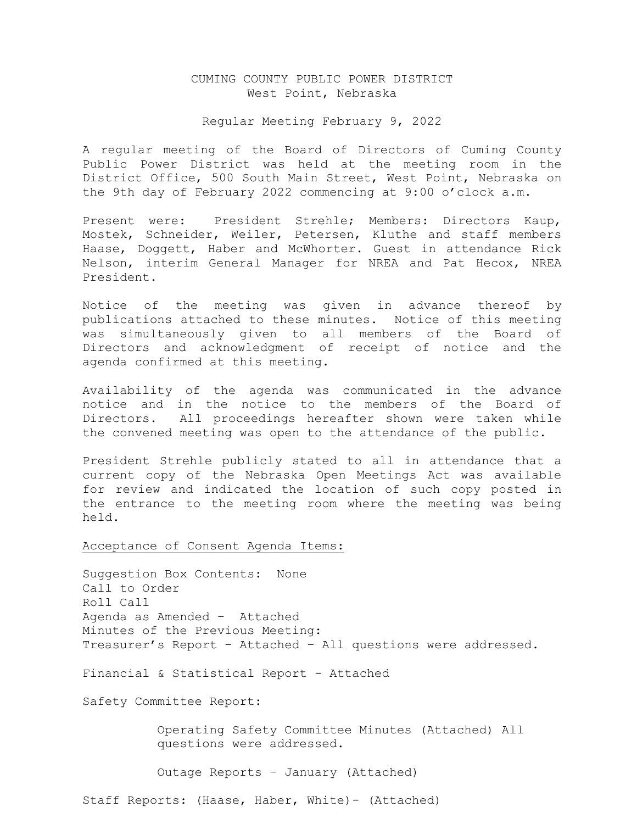# CUMING COUNTY PUBLIC POWER DISTRICT West Point, Nebraska

## Regular Meeting February 9, 2022

A regular meeting of the Board of Directors of Cuming County Public Power District was held at the meeting room in the District Office, 500 South Main Street, West Point, Nebraska on the 9th day of February 2022 commencing at 9:00 o'clock a.m.

Present were: President Strehle; Members: Directors Kaup, Mostek, Schneider, Weiler, Petersen, Kluthe and staff members Haase, Doggett, Haber and McWhorter. Guest in attendance Rick Nelson, interim General Manager for NREA and Pat Hecox, NREA President.

Notice of the meeting was given in advance thereof by publications attached to these minutes. Notice of this meeting was simultaneously given to all members of the Board of Directors and acknowledgment of receipt of notice and the agenda confirmed at this meeting.

Availability of the agenda was communicated in the advance notice and in the notice to the members of the Board of Directors. All proceedings hereafter shown were taken while the convened meeting was open to the attendance of the public.

President Strehle publicly stated to all in attendance that a current copy of the Nebraska Open Meetings Act was available for review and indicated the location of such copy posted in the entrance to the meeting room where the meeting was being held.

### Acceptance of Consent Agenda Items:

Suggestion Box Contents: None Call to Order Roll Call Agenda as Amended – Attached Minutes of the Previous Meeting: Treasurer's Report – Attached – All questions were addressed.

Financial & Statistical Report - Attached

Safety Committee Report:

 Operating Safety Committee Minutes (Attached) All questions were addressed.

Outage Reports – January (Attached)

Staff Reports: (Haase, Haber, White)- (Attached)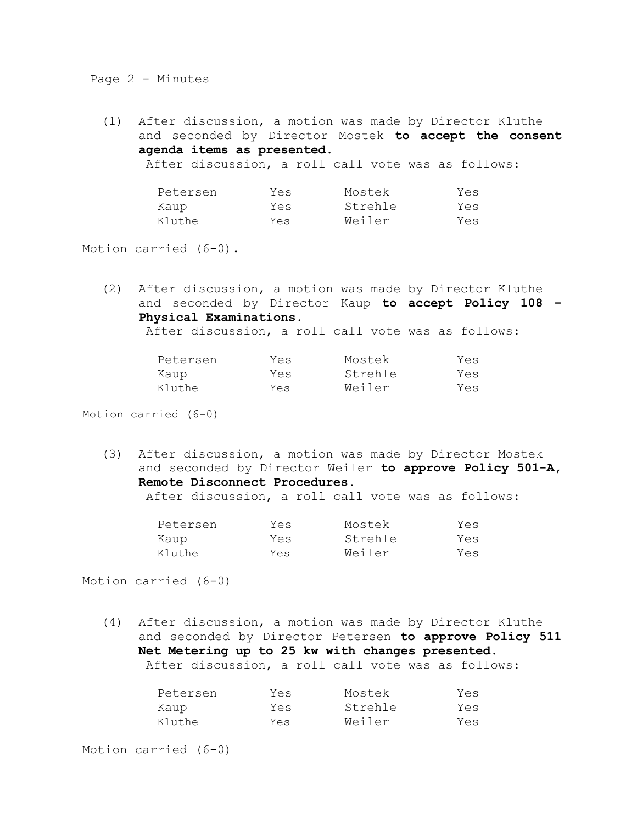Page 2 - Minutes

(1) After discussion, a motion was made by Director Kluthe and seconded by Director Mostek **to accept the consent agenda items as presented.**

After discussion, a roll call vote was as follows:

| Petersen | Yes | Mostek  | Yes |
|----------|-----|---------|-----|
| Kaup     | Yes | Strehle | Yes |
| Kluthe   | Yes | Weiler  | Yes |

Motion carried (6-0).

(2) After discussion, a motion was made by Director Kluthe and seconded by Director Kaup **to accept Policy 108 – Physical Examinations.**

After discussion, a roll call vote was as follows:

| Petersen | Yes | Mostek  | Yes |
|----------|-----|---------|-----|
| Kaup     | Yes | Strehle | Yes |
| Kluthe   | Yes | Weiler  | Yes |

Motion carried (6-0)

(3) After discussion, a motion was made by Director Mostek and seconded by Director Weiler **to approve Policy 501-A, Remote Disconnect Procedures.**

After discussion, a roll call vote was as follows:

| Petersen | Yes | Mostek  | Yes |
|----------|-----|---------|-----|
| Kaup     | Yes | Strehle | Yes |
| Kluthe   | Yes | Weiler  | Yes |

Motion carried (6-0)

(4) After discussion, a motion was made by Director Kluthe and seconded by Director Petersen **to approve Policy 511 Net Metering up to 25 kw with changes presented.** After discussion, a roll call vote was as follows:

| Petersen | Yes | Mostek  | Yes |
|----------|-----|---------|-----|
| Kaup     | Yes | Strehle | Yes |
| Kluthe   | Yes | Weiler  | Yes |

Motion carried (6-0)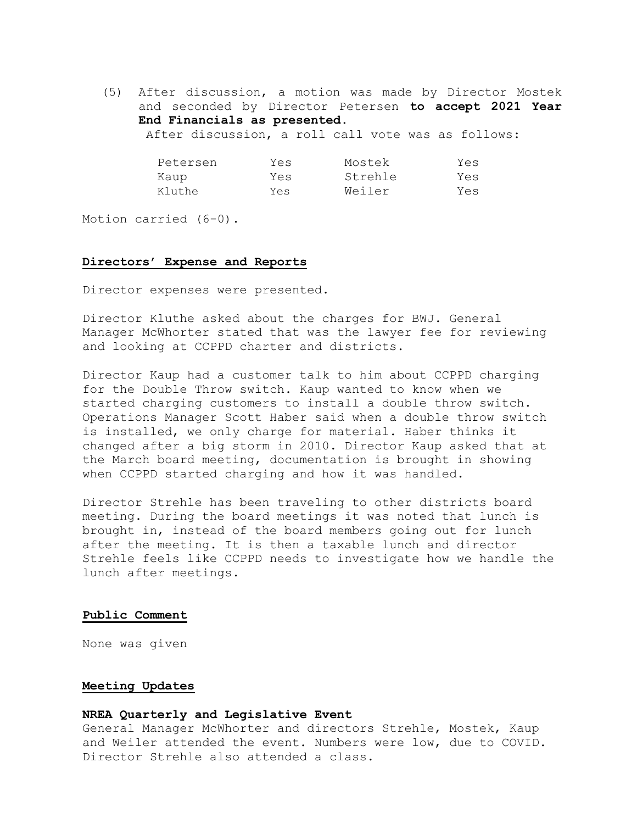(5) After discussion, a motion was made by Director Mostek and seconded by Director Petersen **to accept 2021 Year End Financials as presented.**  After discussion, a roll call vote was as follows:

| Petersen | Yes | Mostek  | Yes |
|----------|-----|---------|-----|
| Kaup     | Yes | Strehle | Yes |
| Kluthe   | Yes | Weiler  | Yes |

Motion carried (6-0).

## **Directors' Expense and Reports**

Director expenses were presented.

Director Kluthe asked about the charges for BWJ. General Manager McWhorter stated that was the lawyer fee for reviewing and looking at CCPPD charter and districts.

Director Kaup had a customer talk to him about CCPPD charging for the Double Throw switch. Kaup wanted to know when we started charging customers to install a double throw switch. Operations Manager Scott Haber said when a double throw switch is installed, we only charge for material. Haber thinks it changed after a big storm in 2010. Director Kaup asked that at the March board meeting, documentation is brought in showing when CCPPD started charging and how it was handled.

Director Strehle has been traveling to other districts board meeting. During the board meetings it was noted that lunch is brought in, instead of the board members going out for lunch after the meeting. It is then a taxable lunch and director Strehle feels like CCPPD needs to investigate how we handle the lunch after meetings.

#### **Public Comment**

None was given

## **Meeting Updates**

## **NREA Quarterly and Legislative Event**

General Manager McWhorter and directors Strehle, Mostek, Kaup and Weiler attended the event. Numbers were low, due to COVID. Director Strehle also attended a class.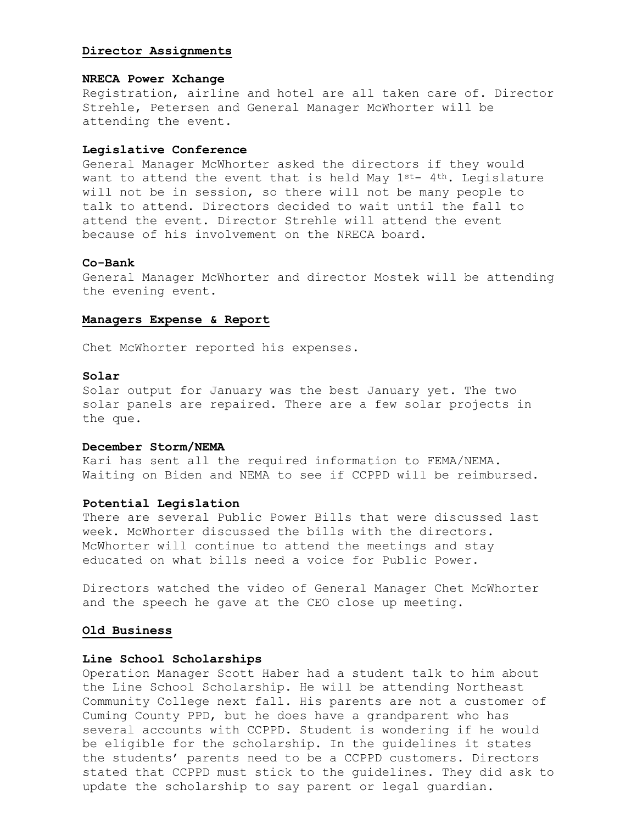## **Director Assignments**

## **NRECA Power Xchange**

Registration, airline and hotel are all taken care of. Director Strehle, Petersen and General Manager McWhorter will be attending the event.

## **Legislative Conference**

General Manager McWhorter asked the directors if they would want to attend the event that is held May  $1^{st-}$  4<sup>th</sup>. Legislature will not be in session, so there will not be many people to talk to attend. Directors decided to wait until the fall to attend the event. Director Strehle will attend the event because of his involvement on the NRECA board.

## **Co-Bank**

General Manager McWhorter and director Mostek will be attending the evening event.

## **Managers Expense & Report**

Chet McWhorter reported his expenses.

## **Solar**

Solar output for January was the best January yet. The two solar panels are repaired. There are a few solar projects in the que.

# **December Storm/NEMA**

Kari has sent all the required information to FEMA/NEMA. Waiting on Biden and NEMA to see if CCPPD will be reimbursed.

## **Potential Legislation**

There are several Public Power Bills that were discussed last week. McWhorter discussed the bills with the directors. McWhorter will continue to attend the meetings and stay educated on what bills need a voice for Public Power.

Directors watched the video of General Manager Chet McWhorter and the speech he gave at the CEO close up meeting.

#### **Old Business**

#### **Line School Scholarships**

Operation Manager Scott Haber had a student talk to him about the Line School Scholarship. He will be attending Northeast Community College next fall. His parents are not a customer of Cuming County PPD, but he does have a grandparent who has several accounts with CCPPD. Student is wondering if he would be eligible for the scholarship. In the guidelines it states the students' parents need to be a CCPPD customers. Directors stated that CCPPD must stick to the guidelines. They did ask to update the scholarship to say parent or legal guardian.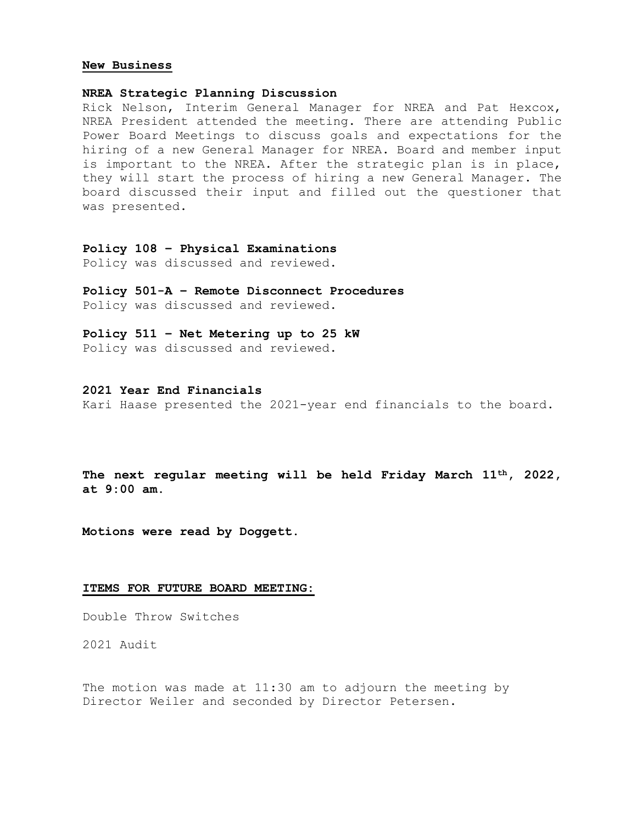#### **New Business**

## **NREA Strategic Planning Discussion**

Rick Nelson, Interim General Manager for NREA and Pat Hexcox, NREA President attended the meeting. There are attending Public Power Board Meetings to discuss goals and expectations for the hiring of a new General Manager for NREA. Board and member input is important to the NREA. After the strategic plan is in place, they will start the process of hiring a new General Manager. The board discussed their input and filled out the questioner that was presented.

## **Policy 108 – Physical Examinations** Policy was discussed and reviewed.

**Policy 501-A – Remote Disconnect Procedures** Policy was discussed and reviewed.

**Policy 511 – Net Metering up to 25 kW** Policy was discussed and reviewed.

# **2021 Year End Financials**

Kari Haase presented the 2021-year end financials to the board.

**The next regular meeting will be held Friday March 11th, 2022, at 9:00 am.**

**Motions were read by Doggett.**

## **ITEMS FOR FUTURE BOARD MEETING:**

Double Throw Switches

2021 Audit

The motion was made at 11:30 am to adjourn the meeting by Director Weiler and seconded by Director Petersen.